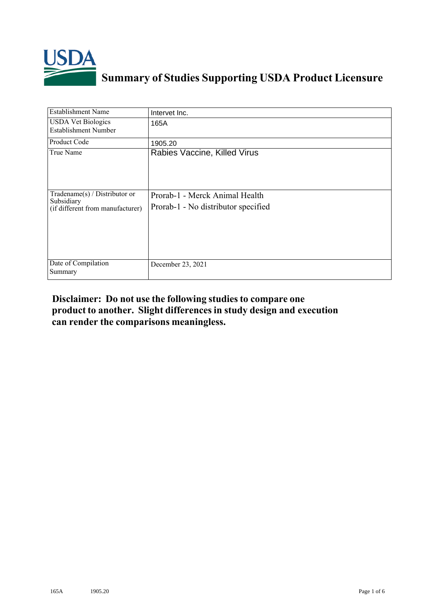

## **Summary of Studies Supporting USDA Product Licensure**

| <b>Establishment Name</b>                                                       | Intervet Inc.                                                         |
|---------------------------------------------------------------------------------|-----------------------------------------------------------------------|
| <b>USDA Vet Biologics</b><br><b>Establishment Number</b>                        | 165A                                                                  |
| Product Code                                                                    | 1905.20                                                               |
| True Name                                                                       | Rabies Vaccine, Killed Virus                                          |
| Tradename(s) / Distributor or<br>Subsidiary<br>(if different from manufacturer) | Prorab-1 - Merck Animal Health<br>Prorab-1 - No distributor specified |
| Date of Compilation<br>Summary                                                  | December 23, 2021                                                     |

## **Disclaimer: Do not use the following studiesto compare one product to another. Slight differencesin study design and execution can render the comparisons meaningless.**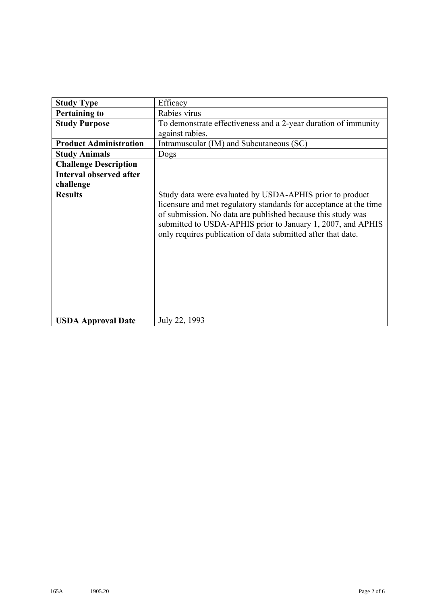| <b>Study Type</b>              | Efficacy                                                                                                                                                                                                                                                                                                                    |
|--------------------------------|-----------------------------------------------------------------------------------------------------------------------------------------------------------------------------------------------------------------------------------------------------------------------------------------------------------------------------|
| <b>Pertaining to</b>           | Rabies virus                                                                                                                                                                                                                                                                                                                |
| <b>Study Purpose</b>           | To demonstrate effectiveness and a 2-year duration of immunity                                                                                                                                                                                                                                                              |
|                                | against rabies.                                                                                                                                                                                                                                                                                                             |
| <b>Product Administration</b>  | Intramuscular (IM) and Subcutaneous (SC)                                                                                                                                                                                                                                                                                    |
| <b>Study Animals</b>           | Dogs                                                                                                                                                                                                                                                                                                                        |
| <b>Challenge Description</b>   |                                                                                                                                                                                                                                                                                                                             |
| <b>Interval observed after</b> |                                                                                                                                                                                                                                                                                                                             |
| challenge                      |                                                                                                                                                                                                                                                                                                                             |
| <b>Results</b>                 | Study data were evaluated by USDA-APHIS prior to product<br>licensure and met regulatory standards for acceptance at the time<br>of submission. No data are published because this study was<br>submitted to USDA-APHIS prior to January 1, 2007, and APHIS<br>only requires publication of data submitted after that date. |
| <b>USDA Approval Date</b>      | July 22, 1993                                                                                                                                                                                                                                                                                                               |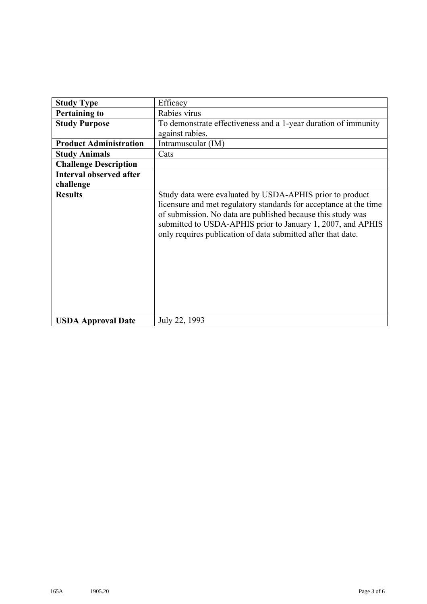| <b>Study Type</b>              | Efficacy                                                                                                                                                                                                                                                                                                                    |
|--------------------------------|-----------------------------------------------------------------------------------------------------------------------------------------------------------------------------------------------------------------------------------------------------------------------------------------------------------------------------|
| <b>Pertaining to</b>           | Rabies virus                                                                                                                                                                                                                                                                                                                |
| <b>Study Purpose</b>           | To demonstrate effectiveness and a 1-year duration of immunity                                                                                                                                                                                                                                                              |
|                                | against rabies.                                                                                                                                                                                                                                                                                                             |
| <b>Product Administration</b>  | Intramuscular (IM)                                                                                                                                                                                                                                                                                                          |
| <b>Study Animals</b>           | Cats                                                                                                                                                                                                                                                                                                                        |
| <b>Challenge Description</b>   |                                                                                                                                                                                                                                                                                                                             |
| <b>Interval observed after</b> |                                                                                                                                                                                                                                                                                                                             |
| challenge                      |                                                                                                                                                                                                                                                                                                                             |
| <b>Results</b>                 | Study data were evaluated by USDA-APHIS prior to product<br>licensure and met regulatory standards for acceptance at the time<br>of submission. No data are published because this study was<br>submitted to USDA-APHIS prior to January 1, 2007, and APHIS<br>only requires publication of data submitted after that date. |
| <b>USDA Approval Date</b>      | July 22, 1993                                                                                                                                                                                                                                                                                                               |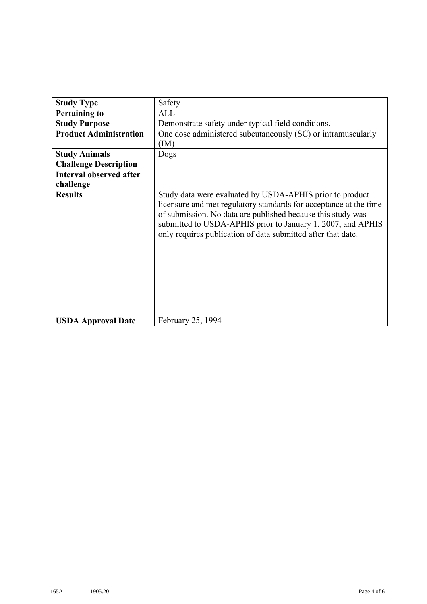| <b>Study Type</b>              | Safety                                                                                                                                                                                                                                                                                                                      |
|--------------------------------|-----------------------------------------------------------------------------------------------------------------------------------------------------------------------------------------------------------------------------------------------------------------------------------------------------------------------------|
| <b>Pertaining to</b>           | ALL                                                                                                                                                                                                                                                                                                                         |
| <b>Study Purpose</b>           | Demonstrate safety under typical field conditions.                                                                                                                                                                                                                                                                          |
| <b>Product Administration</b>  | One dose administered subcutaneously (SC) or intramuscularly                                                                                                                                                                                                                                                                |
|                                | (IM)                                                                                                                                                                                                                                                                                                                        |
| <b>Study Animals</b>           | Dogs                                                                                                                                                                                                                                                                                                                        |
| <b>Challenge Description</b>   |                                                                                                                                                                                                                                                                                                                             |
| <b>Interval observed after</b> |                                                                                                                                                                                                                                                                                                                             |
| challenge                      |                                                                                                                                                                                                                                                                                                                             |
| <b>Results</b>                 | Study data were evaluated by USDA-APHIS prior to product<br>licensure and met regulatory standards for acceptance at the time<br>of submission. No data are published because this study was<br>submitted to USDA-APHIS prior to January 1, 2007, and APHIS<br>only requires publication of data submitted after that date. |
| <b>USDA Approval Date</b>      | February 25, 1994                                                                                                                                                                                                                                                                                                           |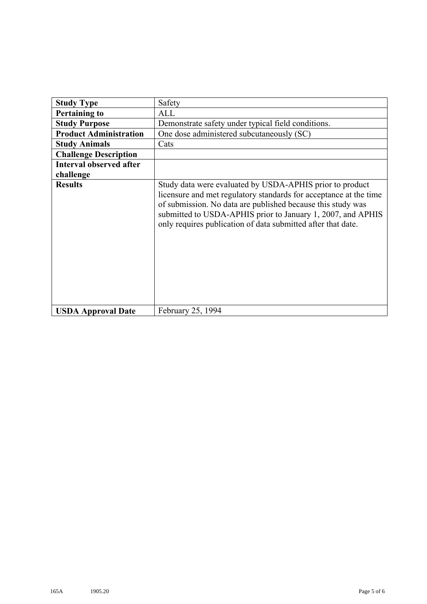| <b>Study Type</b>              | Safety                                                                                                                                                                                                                                                                                                                      |
|--------------------------------|-----------------------------------------------------------------------------------------------------------------------------------------------------------------------------------------------------------------------------------------------------------------------------------------------------------------------------|
| <b>Pertaining to</b>           | ALL                                                                                                                                                                                                                                                                                                                         |
| <b>Study Purpose</b>           | Demonstrate safety under typical field conditions.                                                                                                                                                                                                                                                                          |
| <b>Product Administration</b>  | One dose administered subcutaneously (SC)                                                                                                                                                                                                                                                                                   |
| <b>Study Animals</b>           | Cats                                                                                                                                                                                                                                                                                                                        |
| <b>Challenge Description</b>   |                                                                                                                                                                                                                                                                                                                             |
| <b>Interval observed after</b> |                                                                                                                                                                                                                                                                                                                             |
| challenge                      |                                                                                                                                                                                                                                                                                                                             |
| <b>Results</b>                 | Study data were evaluated by USDA-APHIS prior to product<br>licensure and met regulatory standards for acceptance at the time<br>of submission. No data are published because this study was<br>submitted to USDA-APHIS prior to January 1, 2007, and APHIS<br>only requires publication of data submitted after that date. |
| <b>USDA Approval Date</b>      | February 25, 1994                                                                                                                                                                                                                                                                                                           |